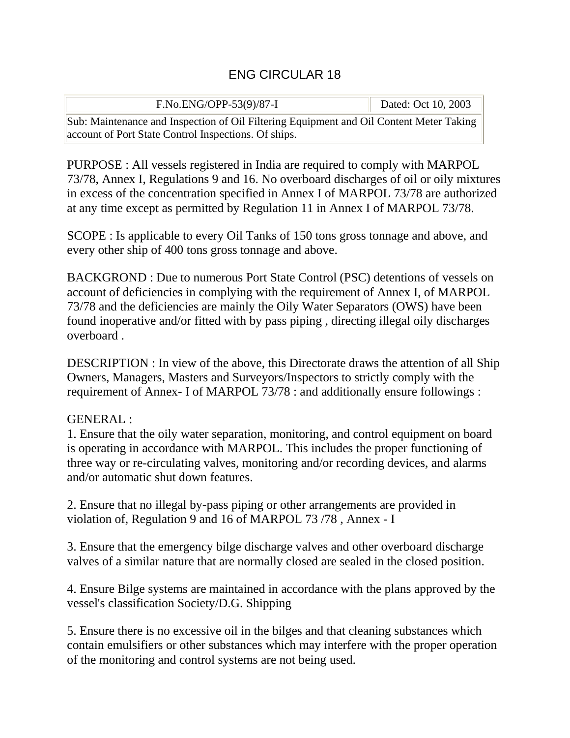## ENG CIRCULAR 18

| F.No.ENG/OPP-53(9)/87-I                                                                                                                         | Dated: Oct 10, 2003 |
|-------------------------------------------------------------------------------------------------------------------------------------------------|---------------------|
| Sub: Maintenance and Inspection of Oil Filtering Equipment and Oil Content Meter Taking<br>account of Port State Control Inspections. Of ships. |                     |

PURPOSE : All vessels registered in India are required to comply with MARPOL 73/78, Annex I, Regulations 9 and 16. No overboard discharges of oil or oily mixtures in excess of the concentration specified in Annex I of MARPOL 73/78 are authorized at any time except as permitted by Regulation 11 in Annex I of MARPOL 73/78.

SCOPE : Is applicable to every Oil Tanks of 150 tons gross tonnage and above, and every other ship of 400 tons gross tonnage and above.

BACKGROND : Due to numerous Port State Control (PSC) detentions of vessels on account of deficiencies in complying with the requirement of Annex I, of MARPOL 73/78 and the deficiencies are mainly the Oily Water Separators (OWS) have been found inoperative and/or fitted with by pass piping , directing illegal oily discharges overboard .

DESCRIPTION : In view of the above, this Directorate draws the attention of all Ship Owners, Managers, Masters and Surveyors/Inspectors to strictly comply with the requirement of Annex- I of MARPOL 73/78 : and additionally ensure followings :

## GENERAL :

1. Ensure that the oily water separation, monitoring, and control equipment on board is operating in accordance with MARPOL. This includes the proper functioning of three way or re-circulating valves, monitoring and/or recording devices, and alarms and/or automatic shut down features.

2. Ensure that no illegal by-pass piping or other arrangements are provided in violation of, Regulation 9 and 16 of MARPOL 73 /78 , Annex - I

3. Ensure that the emergency bilge discharge valves and other overboard discharge valves of a similar nature that are normally closed are sealed in the closed position.

4. Ensure Bilge systems are maintained in accordance with the plans approved by the vessel's classification Society/D.G. Shipping

5. Ensure there is no excessive oil in the bilges and that cleaning substances which contain emulsifiers or other substances which may interfere with the proper operation of the monitoring and control systems are not being used.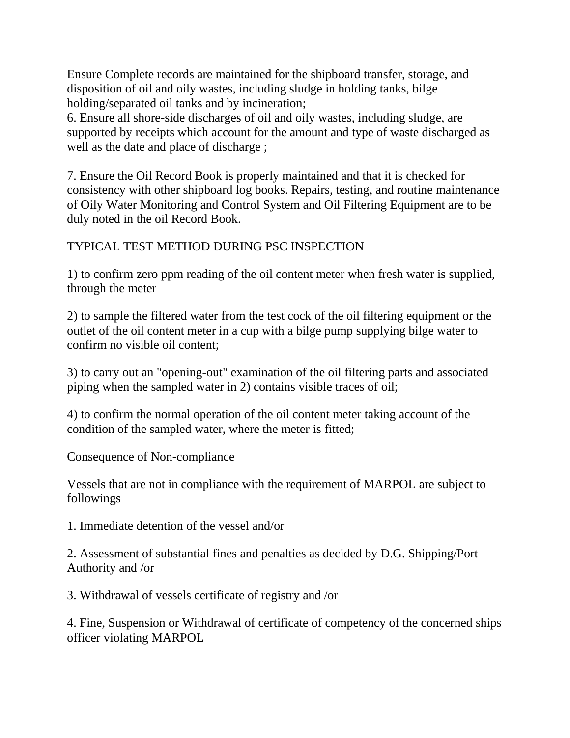Ensure Complete records are maintained for the shipboard transfer, storage, and disposition of oil and oily wastes, including sludge in holding tanks, bilge holding/separated oil tanks and by incineration;

6. Ensure all shore-side discharges of oil and oily wastes, including sludge, are supported by receipts which account for the amount and type of waste discharged as well as the date and place of discharge ;

7. Ensure the Oil Record Book is properly maintained and that it is checked for consistency with other shipboard log books. Repairs, testing, and routine maintenance of Oily Water Monitoring and Control System and Oil Filtering Equipment are to be duly noted in the oil Record Book.

## TYPICAL TEST METHOD DURING PSC INSPECTION

1) to confirm zero ppm reading of the oil content meter when fresh water is supplied, through the meter

2) to sample the filtered water from the test cock of the oil filtering equipment or the outlet of the oil content meter in a cup with a bilge pump supplying bilge water to confirm no visible oil content;

3) to carry out an "opening-out" examination of the oil filtering parts and associated piping when the sampled water in 2) contains visible traces of oil;

4) to confirm the normal operation of the oil content meter taking account of the condition of the sampled water, where the meter is fitted;

Consequence of Non-compliance

Vessels that are not in compliance with the requirement of MARPOL are subject to followings

1. Immediate detention of the vessel and/or

2. Assessment of substantial fines and penalties as decided by D.G. Shipping/Port Authority and /or

3. Withdrawal of vessels certificate of registry and /or

4. Fine, Suspension or Withdrawal of certificate of competency of the concerned ships officer violating MARPOL